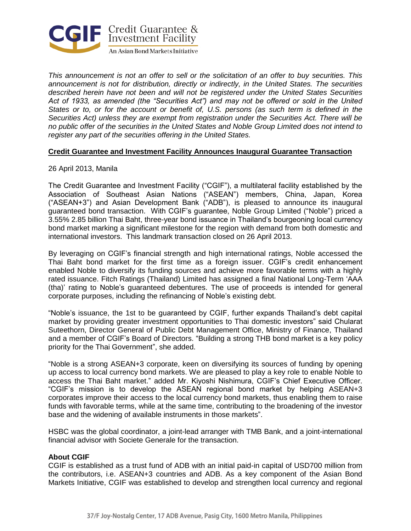

*This announcement is not an offer to sell or the solicitation of an offer to buy securities. This announcement is not for distribution, directly or indirectly, in the United States. The securities described herein have not been and will not be registered under the United States Securities Act of 1933, as amended (the "Securities Act") and may not be offered or sold in the United States or to, or for the account or benefit of, U.S. persons (as such term is defined in the Securities Act) unless they are exempt from registration under the Securities Act. There will be no public offer of the securities in the United States and Noble Group Limited does not intend to register any part of the securities offering in the United States.*

## **Credit Guarantee and Investment Facility Announces Inaugural Guarantee Transaction**

## 26 April 2013, Manila

The Credit Guarantee and Investment Facility ("CGIF"), a multilateral facility established by the Association of Southeast Asian Nations ("ASEAN") members, China, Japan, Korea ("ASEAN+3") and Asian Development Bank ("ADB"), is pleased to announce its inaugural guaranteed bond transaction. With CGIF's guarantee, Noble Group Limited ("Noble") priced a 3.55% 2.85 billion Thai Baht, three-year bond issuance in Thailand's bourgeoning local currency bond market marking a significant milestone for the region with demand from both domestic and international investors. This landmark transaction closed on 26 April 2013.

By leveraging on CGIF's financial strength and high international ratings, Noble accessed the Thai Baht bond market for the first time as a foreign issuer. CGIF's credit enhancement enabled Noble to diversify its funding sources and achieve more favorable terms with a highly rated issuance. Fitch Ratings (Thailand) Limited has assigned a final National Long-Term 'AAA (tha)' rating to Noble's guaranteed debentures. The use of proceeds is intended for general corporate purposes, including the refinancing of Noble's existing debt.

"Noble's issuance, the 1st to be guaranteed by CGIF, further expands Thailand's debt capital market by providing greater investment opportunities to Thai domestic investors" said Chularat Suteethorn, Director General of Public Debt Management Office, Ministry of Finance, Thailand and a member of CGIF's Board of Directors. "Building a strong THB bond market is a key policy priority for the Thai Government", she added.

"Noble is a strong ASEAN+3 corporate, keen on diversifying its sources of funding by opening up access to local currency bond markets. We are pleased to play a key role to enable Noble to access the Thai Baht market." added Mr. Kiyoshi Nishimura, CGIF's Chief Executive Officer. "CGIF's mission is to develop the ASEAN regional bond market by helping ASEAN+3 corporates improve their access to the local currency bond markets, thus enabling them to raise funds with favorable terms, while at the same time, contributing to the broadening of the investor base and the widening of available instruments in those markets".

HSBC was the global coordinator, a joint-lead arranger with TMB Bank, and a joint-international financial advisor with Societe Generale for the transaction.

### **About CGIF**

CGIF is established as a trust fund of ADB with an initial paid-in capital of USD700 million from the contributors, i.e. ASEAN+3 countries and ADB. As a key component of the Asian Bond Markets Initiative, CGIF was established to develop and strengthen local currency and regional